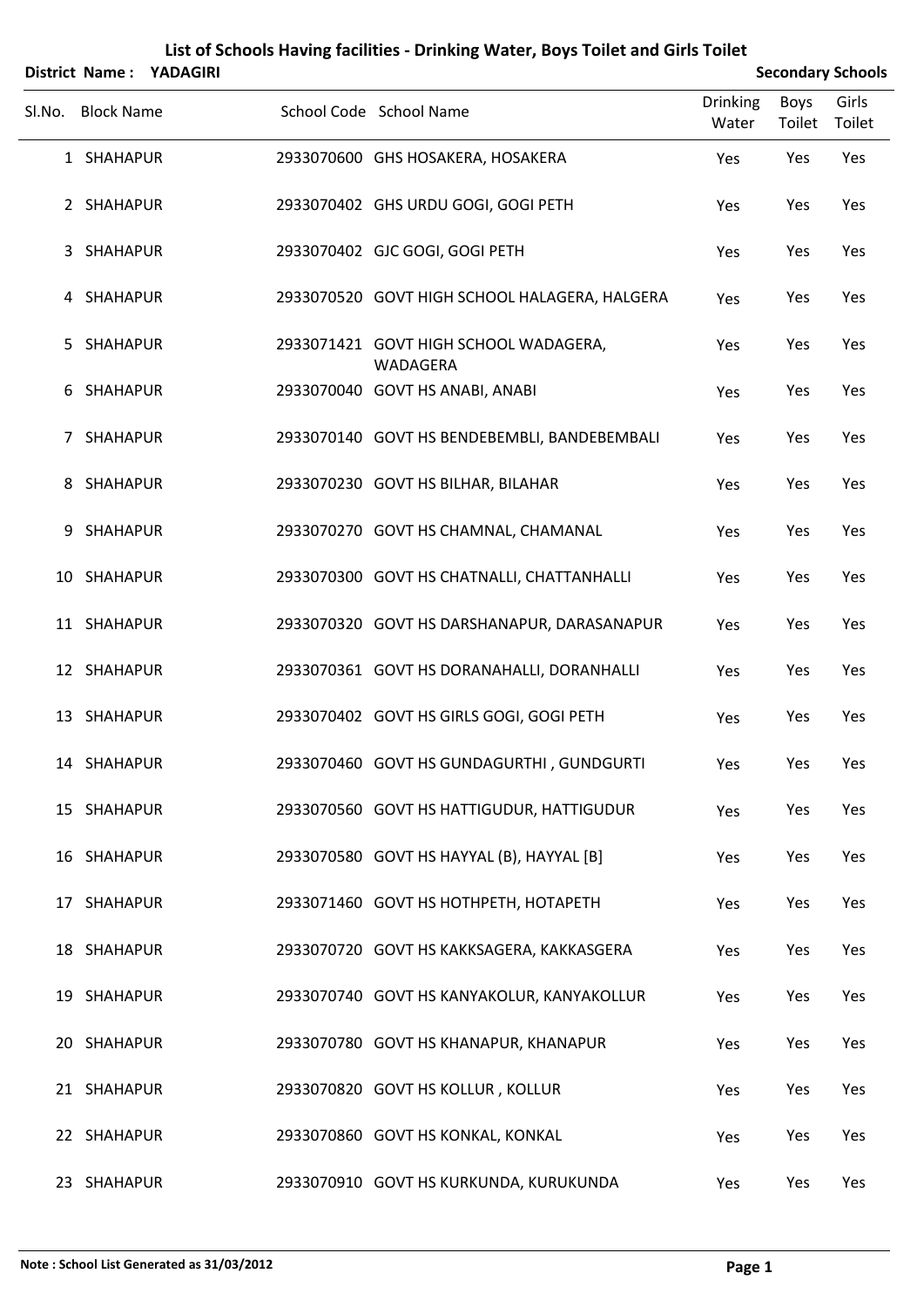|        |                   | District Name: YADAGIRI |                                                   |                          |                | <b>Secondary Schools</b> |
|--------|-------------------|-------------------------|---------------------------------------------------|--------------------------|----------------|--------------------------|
| SI.No. | <b>Block Name</b> |                         | School Code School Name                           | <b>Drinking</b><br>Water | Boys<br>Toilet | Girls<br>Toilet          |
|        | 1 SHAHAPUR        |                         | 2933070600 GHS HOSAKERA, HOSAKERA                 | Yes                      | Yes            | Yes                      |
|        | 2 SHAHAPUR        |                         | 2933070402 GHS URDU GOGI, GOGI PETH               | Yes                      | Yes            | Yes                      |
| 3      | SHAHAPUR          |                         | 2933070402 GJC GOGI, GOGI PETH                    | Yes                      | Yes            | Yes                      |
|        | 4 SHAHAPUR        |                         | 2933070520 GOVT HIGH SCHOOL HALAGERA, HALGERA     | Yes                      | Yes            | Yes                      |
| 5.     | SHAHAPUR          |                         | 2933071421 GOVT HIGH SCHOOL WADAGERA,<br>WADAGERA | Yes                      | Yes            | Yes                      |
| 6      | SHAHAPUR          |                         | 2933070040 GOVT HS ANABI, ANABI                   | Yes                      | Yes            | Yes                      |
| 7      | SHAHAPUR          |                         | 2933070140 GOVT HS BENDEBEMBLI, BANDEBEMBALI      | Yes                      | Yes            | Yes                      |
| 8      | SHAHAPUR          |                         | 2933070230 GOVT HS BILHAR, BILAHAR                | Yes                      | Yes            | Yes                      |
| 9      | SHAHAPUR          |                         | 2933070270 GOVT HS CHAMNAL, CHAMANAL              | Yes                      | Yes            | Yes                      |
|        | 10 SHAHAPUR       |                         | 2933070300 GOVT HS CHATNALLI, CHATTANHALLI        | Yes                      | Yes            | Yes                      |
|        | 11 SHAHAPUR       |                         | 2933070320 GOVT HS DARSHANAPUR, DARASANAPUR       | Yes                      | Yes            | Yes                      |
|        | 12 SHAHAPUR       |                         | 2933070361 GOVT HS DORANAHALLI, DORANHALLI        | Yes                      | Yes            | Yes                      |
|        | 13 SHAHAPUR       |                         | 2933070402 GOVT HS GIRLS GOGI, GOGI PETH          | Yes                      | Yes            | Yes                      |
|        | 14 SHAHAPUR       |                         | 2933070460 GOVT HS GUNDAGURTHI, GUNDGURTI         | Yes                      | Yes            | Yes                      |
|        | 15 SHAHAPUR       |                         | 2933070560 GOVT HS HATTIGUDUR, HATTIGUDUR         | Yes                      | Yes            | Yes                      |
|        | 16 SHAHAPUR       |                         | 2933070580 GOVT HS HAYYAL (B), HAYYAL [B]         | Yes                      | Yes            | Yes                      |
|        | 17 SHAHAPUR       |                         | 2933071460 GOVT HS HOTHPETH, HOTAPETH             | Yes                      | Yes            | Yes                      |
|        | 18 SHAHAPUR       |                         | 2933070720 GOVT HS KAKKSAGERA, KAKKASGERA         | Yes                      | Yes            | Yes                      |
|        | 19 SHAHAPUR       |                         | 2933070740 GOVT HS KANYAKOLUR, KANYAKOLLUR        | Yes                      | Yes            | Yes                      |
|        | 20 SHAHAPUR       |                         | 2933070780 GOVT HS KHANAPUR, KHANAPUR             | Yes                      | Yes            | Yes                      |
|        | 21 SHAHAPUR       |                         | 2933070820 GOVT HS KOLLUR, KOLLUR                 | Yes                      | Yes            | Yes                      |
|        | 22 SHAHAPUR       |                         | 2933070860 GOVT HS KONKAL, KONKAL                 | Yes                      | Yes            | Yes                      |
|        | 23 SHAHAPUR       |                         | 2933070910 GOVT HS KURKUNDA, KURUKUNDA            | Yes                      | Yes            | Yes                      |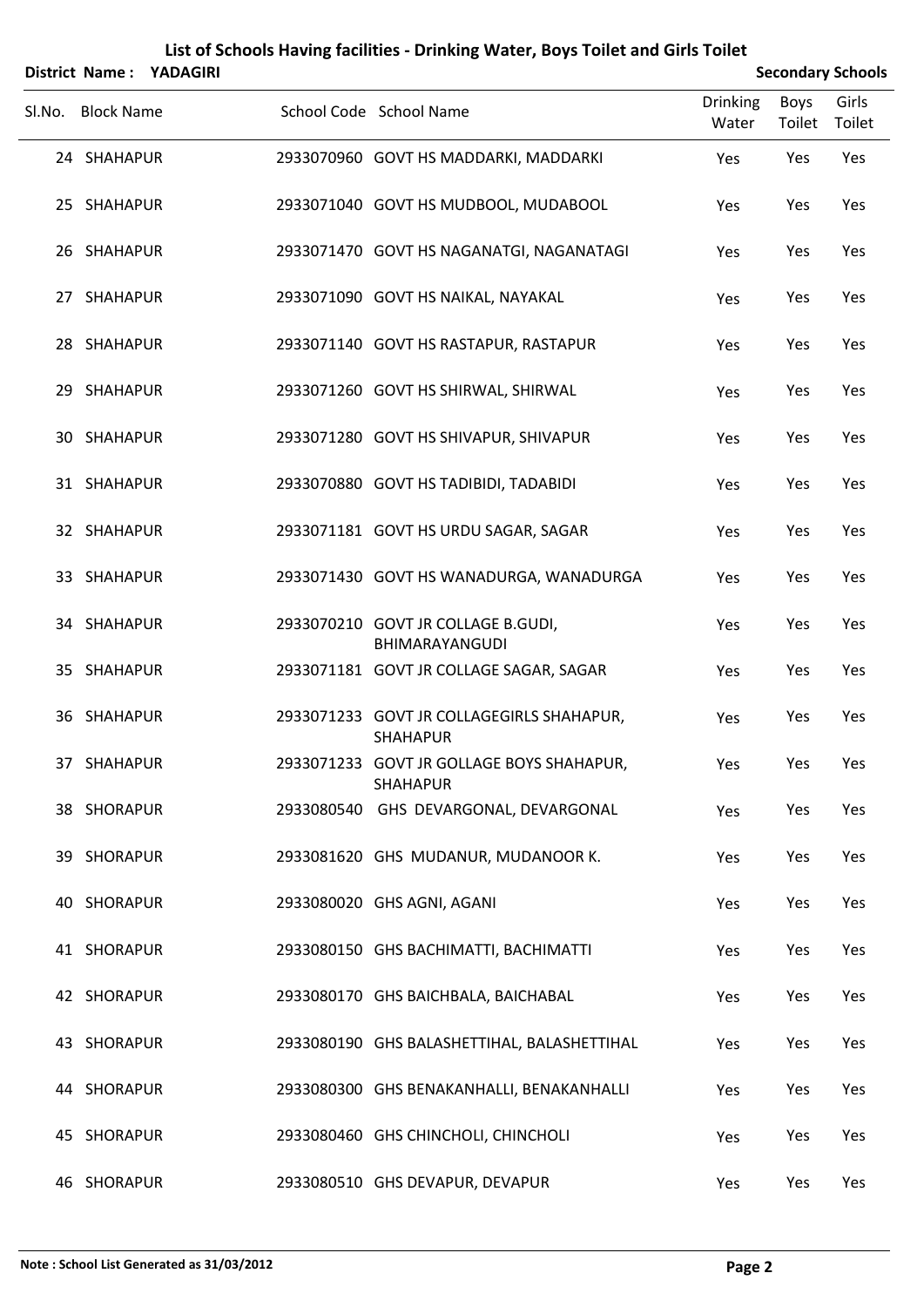|        |                   | District Name: YADAGIRI |                                                              |                          | <b>Secondary Schools</b> |                 |  |
|--------|-------------------|-------------------------|--------------------------------------------------------------|--------------------------|--------------------------|-----------------|--|
| Sl.No. | <b>Block Name</b> |                         | School Code School Name                                      | <b>Drinking</b><br>Water | Boys<br>Toilet           | Girls<br>Toilet |  |
|        | 24 SHAHAPUR       |                         | 2933070960 GOVT HS MADDARKI, MADDARKI                        | Yes                      | Yes                      | Yes             |  |
|        | 25 SHAHAPUR       |                         | 2933071040 GOVT HS MUDBOOL, MUDABOOL                         | Yes                      | Yes                      | Yes             |  |
|        | 26 SHAHAPUR       |                         | 2933071470 GOVT HS NAGANATGI, NAGANATAGI                     | Yes                      | Yes                      | Yes             |  |
|        | 27 SHAHAPUR       |                         | 2933071090 GOVT HS NAIKAL, NAYAKAL                           | Yes                      | Yes                      | Yes             |  |
|        | 28 SHAHAPUR       |                         | 2933071140 GOVT HS RASTAPUR, RASTAPUR                        | Yes                      | Yes                      | Yes             |  |
|        | 29 SHAHAPUR       |                         | 2933071260 GOVT HS SHIRWAL, SHIRWAL                          | Yes                      | Yes                      | Yes             |  |
|        | 30 SHAHAPUR       |                         | 2933071280 GOVT HS SHIVAPUR, SHIVAPUR                        | Yes                      | Yes                      | Yes             |  |
|        | 31 SHAHAPUR       |                         | 2933070880 GOVT HS TADIBIDI, TADABIDI                        | Yes                      | Yes                      | Yes             |  |
|        | 32 SHAHAPUR       |                         | 2933071181 GOVT HS URDU SAGAR, SAGAR                         | Yes                      | Yes                      | Yes             |  |
|        | 33 SHAHAPUR       |                         | 2933071430 GOVT HS WANADURGA, WANADURGA                      | Yes                      | Yes                      | Yes             |  |
|        | 34 SHAHAPUR       |                         | 2933070210 GOVT JR COLLAGE B.GUDI,<br>BHIMARAYANGUDI         | Yes                      | Yes                      | Yes             |  |
|        | 35 SHAHAPUR       |                         | 2933071181 GOVT JR COLLAGE SAGAR, SAGAR                      | Yes                      | Yes                      | Yes             |  |
|        | 36 SHAHAPUR       |                         | 2933071233 GOVT JR COLLAGEGIRLS SHAHAPUR,<br><b>SHAHAPUR</b> | Yes                      | Yes                      | Yes             |  |
|        | 37 SHAHAPUR       |                         | 2933071233 GOVT JR GOLLAGE BOYS SHAHAPUR,<br><b>SHAHAPUR</b> | Yes                      | Yes                      | Yes             |  |
|        | 38 SHORAPUR       |                         | 2933080540 GHS DEVARGONAL, DEVARGONAL                        | Yes                      | Yes                      | Yes             |  |
|        | 39 SHORAPUR       |                         | 2933081620 GHS MUDANUR, MUDANOOR K.                          | Yes                      | Yes                      | Yes             |  |
|        | 40 SHORAPUR       |                         | 2933080020 GHS AGNI, AGANI                                   | Yes                      | Yes                      | Yes             |  |
|        | 41 SHORAPUR       |                         | 2933080150 GHS BACHIMATTI, BACHIMATTI                        | Yes                      | Yes                      | Yes             |  |
|        | 42 SHORAPUR       |                         | 2933080170 GHS BAICHBALA, BAICHABAL                          | Yes                      | Yes                      | Yes             |  |
|        | 43 SHORAPUR       |                         | 2933080190 GHS BALASHETTIHAL, BALASHETTIHAL                  | Yes                      | Yes                      | Yes             |  |
|        | 44 SHORAPUR       |                         | 2933080300 GHS BENAKANHALLI, BENAKANHALLI                    | Yes                      | Yes                      | Yes             |  |
|        | 45 SHORAPUR       |                         | 2933080460 GHS CHINCHOLI, CHINCHOLI                          | Yes                      | Yes                      | Yes             |  |
|        | 46 SHORAPUR       |                         | 2933080510 GHS DEVAPUR, DEVAPUR                              | Yes                      | Yes                      | Yes             |  |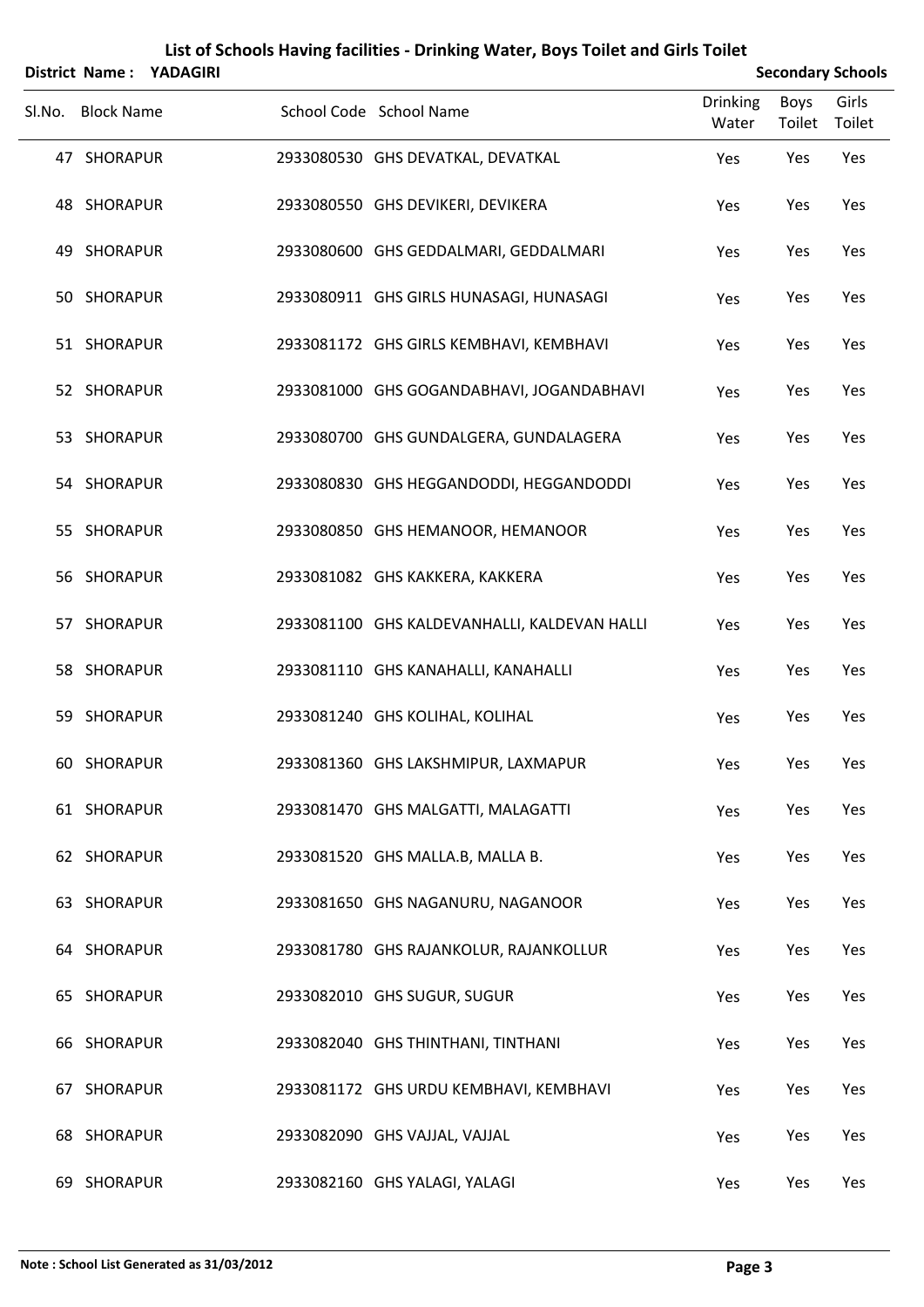|        |                   | District Name: YADAGIRI |                                              | <b>Secondary Schools</b> |                |                 |
|--------|-------------------|-------------------------|----------------------------------------------|--------------------------|----------------|-----------------|
| SI.No. | <b>Block Name</b> |                         | School Code School Name                      | Drinking<br>Water        | Boys<br>Toilet | Girls<br>Toilet |
|        | 47 SHORAPUR       |                         | 2933080530 GHS DEVATKAL, DEVATKAL            | Yes                      | Yes            | Yes             |
|        | 48 SHORAPUR       |                         | 2933080550 GHS DEVIKERI, DEVIKERA            | Yes                      | Yes            | Yes             |
|        | 49 SHORAPUR       |                         | 2933080600 GHS GEDDALMARI, GEDDALMARI        | Yes                      | Yes            | Yes             |
|        | 50 SHORAPUR       |                         | 2933080911 GHS GIRLS HUNASAGI, HUNASAGI      | Yes                      | Yes            | Yes             |
|        | 51 SHORAPUR       |                         | 2933081172 GHS GIRLS KEMBHAVI, KEMBHAVI      | Yes                      | Yes            | Yes             |
|        | 52 SHORAPUR       |                         | 2933081000 GHS GOGANDABHAVI, JOGANDABHAVI    | Yes                      | Yes            | Yes             |
|        | 53 SHORAPUR       |                         | 2933080700 GHS GUNDALGERA, GUNDALAGERA       | Yes                      | Yes            | Yes             |
|        | 54 SHORAPUR       |                         | 2933080830 GHS HEGGANDODDI, HEGGANDODDI      | Yes                      | Yes            | Yes             |
|        | 55 SHORAPUR       |                         | 2933080850 GHS HEMANOOR, HEMANOOR            | Yes                      | Yes            | Yes             |
|        | 56 SHORAPUR       |                         | 2933081082 GHS KAKKERA, KAKKERA              | Yes                      | Yes            | Yes             |
|        | 57 SHORAPUR       |                         | 2933081100 GHS KALDEVANHALLI, KALDEVAN HALLI | Yes                      | Yes            | Yes             |
|        | 58 SHORAPUR       |                         | 2933081110 GHS KANAHALLI, KANAHALLI          | Yes                      | Yes            | Yes             |
|        | 59 SHORAPUR       |                         | 2933081240 GHS KOLIHAL, KOLIHAL              | Yes                      | Yes            | Yes             |
|        | 60 SHORAPUR       |                         | 2933081360 GHS LAKSHMIPUR, LAXMAPUR          | Yes                      | Yes            | Yes             |
|        | 61 SHORAPUR       |                         | 2933081470 GHS MALGATTI, MALAGATTI           | Yes                      | Yes            | Yes             |
|        | 62 SHORAPUR       |                         | 2933081520 GHS MALLA.B, MALLA B.             | Yes                      | Yes            | Yes             |
|        | 63 SHORAPUR       |                         | 2933081650 GHS NAGANURU, NAGANOOR            | Yes                      | Yes            | Yes             |
|        | 64 SHORAPUR       |                         | 2933081780 GHS RAJANKOLUR, RAJANKOLLUR       | Yes                      | Yes            | Yes             |
|        | 65 SHORAPUR       |                         | 2933082010 GHS SUGUR, SUGUR                  | Yes                      | Yes            | Yes             |
|        | 66 SHORAPUR       |                         | 2933082040 GHS THINTHANI, TINTHANI           | Yes                      | Yes            | Yes             |
|        | 67 SHORAPUR       |                         | 2933081172 GHS URDU KEMBHAVI, KEMBHAVI       | Yes                      | Yes            | Yes             |
|        | 68 SHORAPUR       |                         | 2933082090 GHS VAJJAL, VAJJAL                | Yes                      | Yes            | Yes             |
|        | 69 SHORAPUR       |                         | 2933082160 GHS YALAGI, YALAGI                | Yes                      | Yes            | Yes             |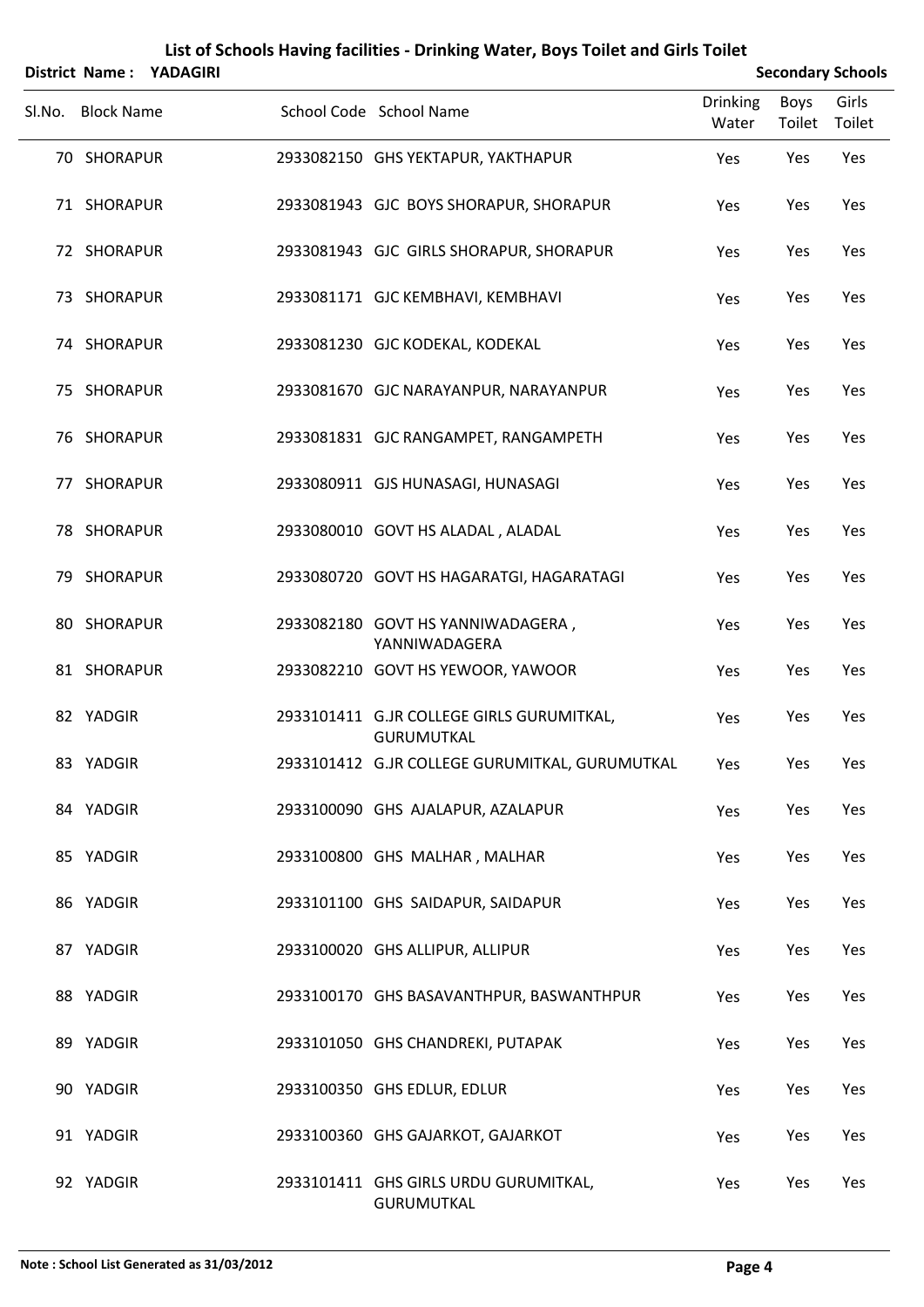|        |                   | District Name: YADAGIRI |                                                                | <b>Secondary Schools</b> |                |                 |
|--------|-------------------|-------------------------|----------------------------------------------------------------|--------------------------|----------------|-----------------|
| Sl.No. | <b>Block Name</b> |                         | School Code School Name                                        | <b>Drinking</b><br>Water | Boys<br>Toilet | Girls<br>Toilet |
|        | 70 SHORAPUR       |                         | 2933082150 GHS YEKTAPUR, YAKTHAPUR                             | Yes                      | Yes            | Yes             |
|        | 71 SHORAPUR       |                         | 2933081943 GJC BOYS SHORAPUR, SHORAPUR                         | Yes                      | Yes            | Yes             |
|        | 72 SHORAPUR       |                         | 2933081943 GJC GIRLS SHORAPUR, SHORAPUR                        | Yes                      | Yes            | Yes             |
|        | 73 SHORAPUR       |                         | 2933081171 GJC KEMBHAVI, KEMBHAVI                              | Yes                      | Yes            | Yes             |
|        | 74 SHORAPUR       |                         | 2933081230 GJC KODEKAL, KODEKAL                                | Yes                      | Yes            | Yes             |
|        | 75 SHORAPUR       |                         | 2933081670 GJC NARAYANPUR, NARAYANPUR                          | Yes                      | Yes            | Yes             |
|        | 76 SHORAPUR       |                         | 2933081831 GJC RANGAMPET, RANGAMPETH                           | Yes                      | Yes            | Yes             |
|        | 77 SHORAPUR       |                         | 2933080911 GJS HUNASAGI, HUNASAGI                              | Yes                      | Yes            | Yes             |
|        | 78 SHORAPUR       |                         | 2933080010 GOVT HS ALADAL, ALADAL                              | Yes                      | Yes            | Yes             |
|        | 79 SHORAPUR       |                         | 2933080720 GOVT HS HAGARATGI, HAGARATAGI                       | Yes                      | Yes            | Yes             |
|        | 80 SHORAPUR       |                         | 2933082180 GOVT HS YANNIWADAGERA,<br>YANNIWADAGERA             | Yes                      | Yes            | Yes             |
|        | 81 SHORAPUR       |                         | 2933082210 GOVT HS YEWOOR, YAWOOR                              | Yes                      | Yes            | Yes             |
|        | 82 YADGIR         |                         | 2933101411 G.JR COLLEGE GIRLS GURUMITKAL,<br><b>GURUMUTKAL</b> | Yes                      | Yes            | Yes             |
|        | 83 YADGIR         |                         | 2933101412 G.JR COLLEGE GURUMITKAL, GURUMUTKAL                 | Yes                      | Yes            | Yes             |
|        | 84 YADGIR         |                         | 2933100090 GHS AJALAPUR, AZALAPUR                              | Yes                      | Yes            | Yes             |
|        | 85 YADGIR         |                         | 2933100800 GHS MALHAR, MALHAR                                  | Yes                      | Yes            | Yes             |
|        | 86 YADGIR         |                         | 2933101100 GHS SAIDAPUR, SAIDAPUR                              | Yes                      | Yes            | Yes             |
|        | 87 YADGIR         |                         | 2933100020 GHS ALLIPUR, ALLIPUR                                | Yes                      | Yes            | Yes             |
|        | 88 YADGIR         |                         | 2933100170 GHS BASAVANTHPUR, BASWANTHPUR                       | Yes                      | Yes            | Yes             |
|        | 89 YADGIR         |                         | 2933101050 GHS CHANDREKI, PUTAPAK                              | Yes                      | Yes            | Yes             |
|        | 90 YADGIR         |                         | 2933100350 GHS EDLUR, EDLUR                                    | Yes                      | Yes            | Yes             |
|        | 91 YADGIR         |                         | 2933100360 GHS GAJARKOT, GAJARKOT                              | Yes                      | Yes            | Yes             |
|        | 92 YADGIR         |                         | 2933101411 GHS GIRLS URDU GURUMITKAL,<br>GURUMUTKAL            | Yes                      | Yes            | Yes             |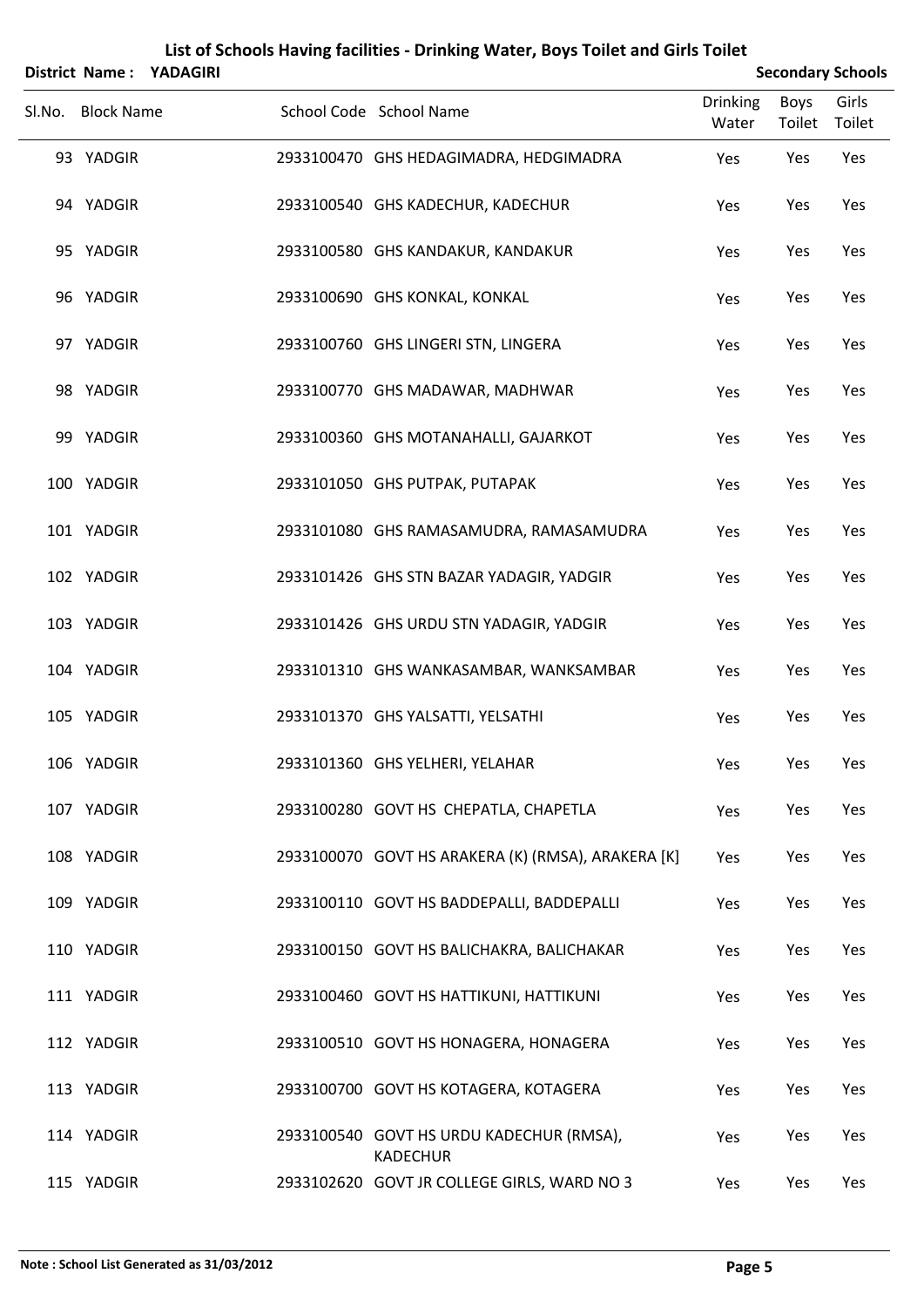|        |                   | District Name: YADAGIRI |                                                             | <b>Secondary Schools</b> |                |                 |
|--------|-------------------|-------------------------|-------------------------------------------------------------|--------------------------|----------------|-----------------|
| Sl.No. | <b>Block Name</b> |                         | School Code School Name                                     | <b>Drinking</b><br>Water | Boys<br>Toilet | Girls<br>Toilet |
|        | 93 YADGIR         |                         | 2933100470 GHS HEDAGIMADRA, HEDGIMADRA                      | Yes                      | Yes            | Yes             |
|        | 94 YADGIR         |                         | 2933100540 GHS KADECHUR, KADECHUR                           | Yes                      | Yes            | Yes             |
|        | 95 YADGIR         |                         | 2933100580 GHS KANDAKUR, KANDAKUR                           | Yes                      | Yes            | Yes             |
|        | 96 YADGIR         |                         | 2933100690 GHS KONKAL, KONKAL                               | Yes                      | Yes            | Yes             |
|        | 97 YADGIR         |                         | 2933100760 GHS LINGERI STN, LINGERA                         | Yes                      | Yes            | Yes             |
|        | 98 YADGIR         |                         | 2933100770 GHS MADAWAR, MADHWAR                             | Yes                      | Yes            | Yes             |
|        | 99 YADGIR         |                         | 2933100360 GHS MOTANAHALLI, GAJARKOT                        | Yes                      | Yes            | Yes             |
|        | 100 YADGIR        |                         | 2933101050 GHS PUTPAK, PUTAPAK                              | Yes                      | Yes            | Yes             |
|        | 101 YADGIR        |                         | 2933101080 GHS RAMASAMUDRA, RAMASAMUDRA                     | Yes                      | Yes            | Yes             |
|        | 102 YADGIR        |                         | 2933101426 GHS STN BAZAR YADAGIR, YADGIR                    | Yes                      | Yes            | Yes             |
|        | 103 YADGIR        |                         | 2933101426 GHS URDU STN YADAGIR, YADGIR                     | Yes                      | Yes            | Yes             |
|        | 104 YADGIR        |                         | 2933101310 GHS WANKASAMBAR, WANKSAMBAR                      | Yes                      | Yes            | Yes             |
|        | 105 YADGIR        |                         | 2933101370 GHS YALSATTI, YELSATHI                           | Yes                      | Yes            | Yes             |
|        | 106 YADGIR        |                         | 2933101360 GHS YELHERI, YELAHAR                             | Yes                      | Yes            | Yes             |
|        | 107 YADGIR        |                         | 2933100280 GOVT HS CHEPATLA, CHAPETLA                       | Yes                      | Yes            | Yes             |
|        | 108 YADGIR        |                         | 2933100070 GOVT HS ARAKERA (K) (RMSA), ARAKERA [K]          | Yes                      | Yes            | Yes             |
|        | 109 YADGIR        |                         | 2933100110 GOVT HS BADDEPALLI, BADDEPALLI                   | Yes                      | Yes            | Yes             |
|        | 110 YADGIR        |                         | 2933100150 GOVT HS BALICHAKRA, BALICHAKAR                   | Yes                      | Yes            | Yes             |
|        | 111 YADGIR        |                         | 2933100460 GOVT HS HATTIKUNI, HATTIKUNI                     | Yes                      | Yes            | Yes             |
|        | 112 YADGIR        |                         | 2933100510 GOVT HS HONAGERA, HONAGERA                       | Yes                      | Yes            | Yes             |
|        | 113 YADGIR        |                         | 2933100700 GOVT HS KOTAGERA, KOTAGERA                       | Yes                      | Yes            | Yes             |
|        | 114 YADGIR        |                         | 2933100540 GOVT HS URDU KADECHUR (RMSA),<br><b>KADECHUR</b> | Yes                      | Yes            | Yes             |
|        | 115 YADGIR        |                         | 2933102620 GOVT JR COLLEGE GIRLS, WARD NO 3                 | Yes                      | Yes            | Yes             |